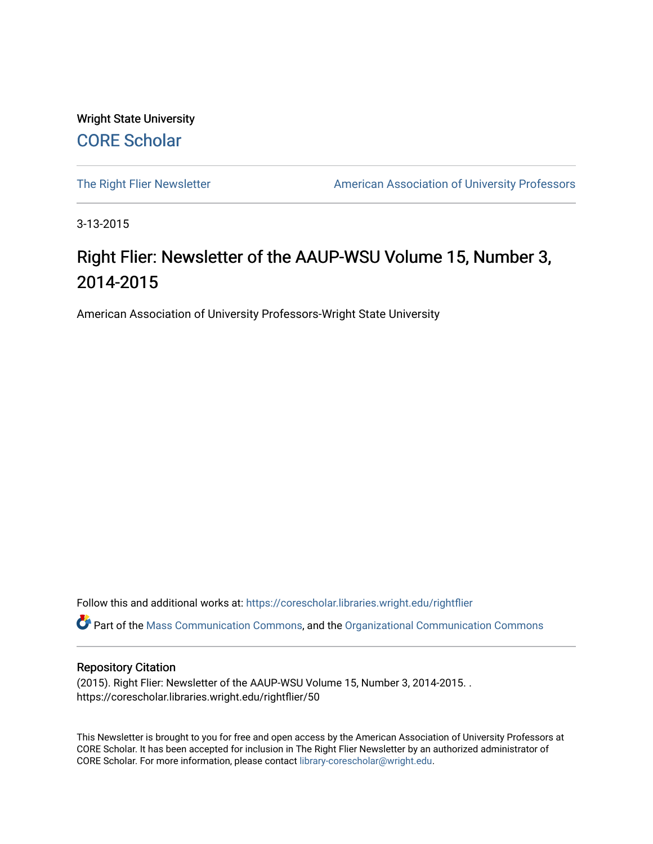Wright State University [CORE Scholar](https://corescholar.libraries.wright.edu/)

[The Right Flier Newsletter](https://corescholar.libraries.wright.edu/rightflier) **American Association of University Professors** 

3-13-2015

# Right Flier: Newsletter of the AAUP-WSU Volume 15, Number 3, 2014-2015

American Association of University Professors-Wright State University

Follow this and additional works at: [https://corescholar.libraries.wright.edu/rightflier](https://corescholar.libraries.wright.edu/rightflier?utm_source=corescholar.libraries.wright.edu%2Frightflier%2F50&utm_medium=PDF&utm_campaign=PDFCoverPages) 

Part of the [Mass Communication Commons,](http://network.bepress.com/hgg/discipline/334?utm_source=corescholar.libraries.wright.edu%2Frightflier%2F50&utm_medium=PDF&utm_campaign=PDFCoverPages) and the [Organizational Communication Commons](http://network.bepress.com/hgg/discipline/335?utm_source=corescholar.libraries.wright.edu%2Frightflier%2F50&utm_medium=PDF&utm_campaign=PDFCoverPages) 

#### Repository Citation

(2015). Right Flier: Newsletter of the AAUP-WSU Volume 15, Number 3, 2014-2015. . https://corescholar.libraries.wright.edu/rightflier/50

This Newsletter is brought to you for free and open access by the American Association of University Professors at CORE Scholar. It has been accepted for inclusion in The Right Flier Newsletter by an authorized administrator of CORE Scholar. For more information, please contact [library-corescholar@wright.edu](mailto:library-corescholar@wright.edu).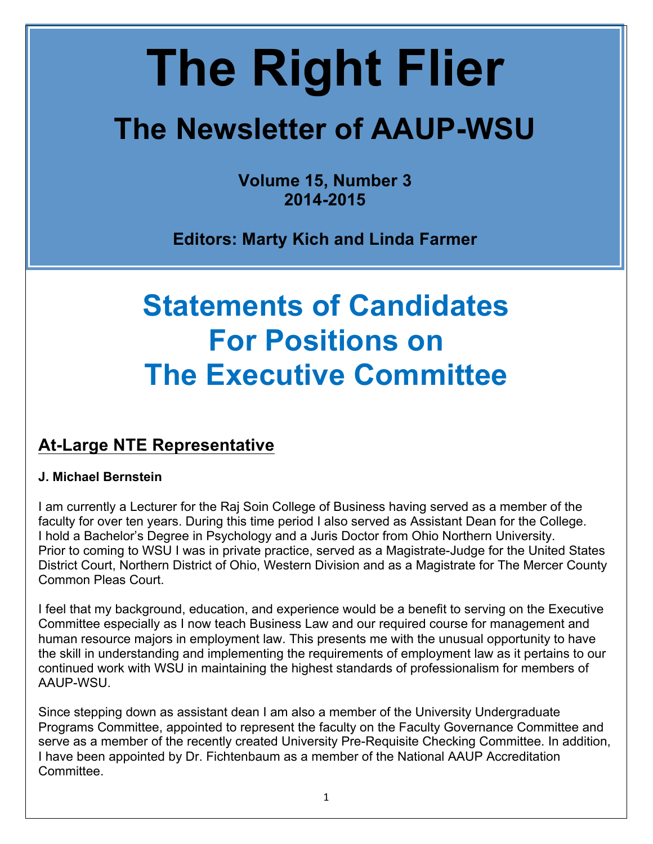# **The Right Flier**

# **The Newsletter of AAUP-WSU**

**Volume 15, Number 3 2014-2015** 

 **Editors: Marty Kich and Linda Farmer**

# **Statements of Candidates The Executive Committee For Positions on**

## **At-Large NTE Representative**

#### **J. Michael Bernstein**

 I am currently a Lecturer for the Raj Soin College of Business having served as a member of the faculty for over ten years. During this time period I also served as Assistant Dean for the College. I hold a Bachelor's Degree in Psychology and a Juris Doctor from Ohio Northern University. Prior to coming to WSU I was in private practice, served as a Magistrate-Judge for the United States District Court, Northern District of Ohio, Western Division and as a Magistrate for The Mercer County Common Pleas Court.

 I feel that my background, education, and experience would be a benefit to serving on the Executive Committee especially as I now teach Business Law and our required course for management and human resource majors in employment law. This presents me with the unusual opportunity to have the skill in understanding and implementing the requirements of employment law as it pertains to our continued work with WSU in maintaining the highest standards of professionalism for members of AAUP-WSU.

 Since stepping down as assistant dean I am also a member of the University Undergraduate Programs Committee, appointed to represent the faculty on the Faculty Governance Committee and serve as a member of the recently created University Pre-Requisite Checking Committee. In addition, I have been appointed by Dr. Fichtenbaum as a member of the National AAUP Accreditation Committee.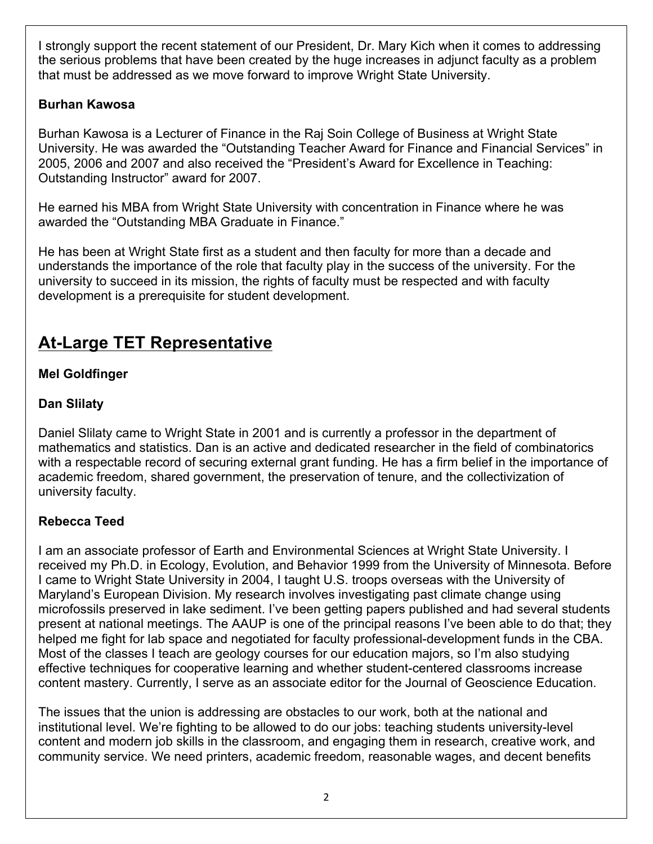I strongly support the recent statement of our President, Dr. Mary Kich when it comes to addressing the serious problems that have been created by the huge increases in adjunct faculty as a problem that must be addressed as we move forward to improve Wright State University.

#### **Burhan Kawosa**

 Burhan Kawosa is a Lecturer of Finance in the Raj Soin College of Business at Wright State University. He was awarded the "Outstanding Teacher Award for Finance and Financial Services" in 2005, 2006 and 2007 and also received the "President's Award for Excellence in Teaching: Outstanding Instructor" award for 2007.

 He earned his MBA from Wright State University with concentration in Finance where he was awarded the "Outstanding MBA Graduate in Finance."

 He has been at Wright State first as a student and then faculty for more than a decade and understands the importance of the role that faculty play in the success of the university. For the university to succeed in its mission, the rights of faculty must be respected and with faculty development is a prerequisite for student development.

# **At-Large TET Representative**

#### **Mel Goldfinger**

#### **Dan Slilaty**

 Daniel Slilaty came to Wright State in 2001 and is currently a professor in the department of mathematics and statistics. Dan is an active and dedicated researcher in the field of combinatorics with a respectable record of securing external grant funding. He has a firm belief in the importance of academic freedom, shared government, the preservation of tenure, and the collectivization of university faculty.

#### **Rebecca Teed**

 I am an associate professor of Earth and Environmental Sciences at Wright State University. I received my Ph.D. in Ecology, Evolution, and Behavior 1999 from the University of Minnesota. Before I came to Wright State University in 2004, I taught U.S. troops overseas with the University of Maryland's European Division. My research involves investigating past climate change using microfossils preserved in lake sediment. I've been getting papers published and had several students present at national meetings. The AAUP is one of the principal reasons I've been able to do that; they helped me fight for lab space and negotiated for faculty professional-development funds in the CBA. Most of the classes I teach are geology courses for our education majors, so I'm also studying effective techniques for cooperative learning and whether student-centered classrooms increase content mastery. Currently, I serve as an associate editor for the Journal of Geoscience Education.

 The issues that the union is addressing are obstacles to our work, both at the national and institutional level. We're fighting to be allowed to do our jobs: teaching students university-level content and modern job skills in the classroom, and engaging them in research, creative work, and community service. We need printers, academic freedom, reasonable wages, and decent benefits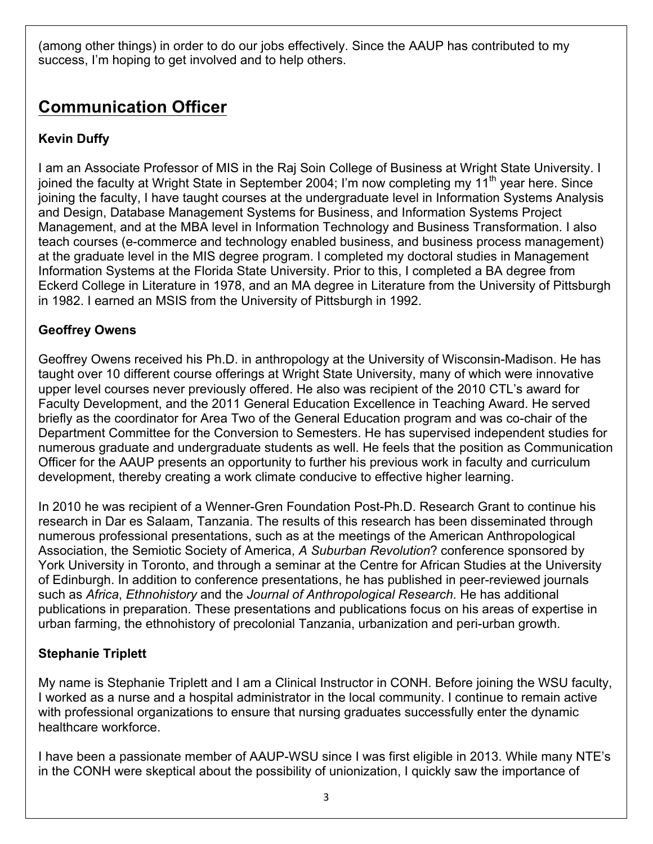(among other things) in order to do our jobs effectively. Since the AAUP has contributed to my success, I'm hoping to get involved and to help others.

# **Communication Officer**

#### **Kevin Duffy**

 I am an Associate Professor of MIS in the Raj Soin College of Business at Wright State University. I joined the faculty at Wright State in September 2004; I'm now completing my 11<sup>th</sup> year here. Since joining the faculty, I have taught courses at the undergraduate level in Information Systems Analysis and Design, Database Management Systems for Business, and Information Systems Project Management, and at the MBA level in Information Technology and Business Transformation. I also teach courses (e-commerce and technology enabled business, and business process management) at the graduate level in the MIS degree program. I completed my doctoral studies in Management Information Systems at the Florida State University. Prior to this, I completed a BA degree from Eckerd College in Literature in 1978, and an MA degree in Literature from the University of Pittsburgh in 1982. I earned an MSIS from the University of Pittsburgh in 1992.

#### **Geoffrey Owens**

 Geoffrey Owens received his Ph.D. in anthropology at the University of Wisconsin-Madison. He has taught over 10 different course offerings at Wright State University, many of which were innovative upper level courses never previously offered. He also was recipient of the 2010 CTL's award for Faculty Development, and the 2011 General Education Excellence in Teaching Award. He served briefly as the coordinator for Area Two of the General Education program and was co-chair of the Department Committee for the Conversion to Semesters. He has supervised independent studies for numerous graduate and undergraduate students as well. He feels that the position as Communication Officer for the AAUP presents an opportunity to further his previous work in faculty and curriculum development, thereby creating a work climate conducive to effective higher learning.

 In 2010 he was recipient of a Wenner-Gren Foundation Post-Ph.D. Research Grant to continue his research in Dar es Salaam, Tanzania. The results of this research has been disseminated through numerous professional presentations, such as at the meetings of the American Anthropological Association, the Semiotic Society of America, *A Suburban Revolution*? conference sponsored by York University in Toronto, and through a seminar at the Centre for African Studies at the University of Edinburgh. In addition to conference presentations, he has published in peer-reviewed journals  such as *Africa*, *Ethnohistory* and the *Journal of Anthropological Research*. He has additional publications in preparation. These presentations and publications focus on his areas of expertise in urban farming, the ethnohistory of precolonial Tanzania, urbanization and peri-urban growth.

#### **Stephanie Triplett**

 My name is Stephanie Triplett and I am a Clinical Instructor in CONH. Before joining the WSU faculty, I worked as a nurse and a hospital administrator in the local community. I continue to remain active with professional organizations to ensure that nursing graduates successfully enter the dynamic healthcare workforce.

 I have been a passionate member of AAUP-WSU since I was first eligible in 2013. While many NTE's in the CONH were skeptical about the possibility of unionization, I quickly saw the importance of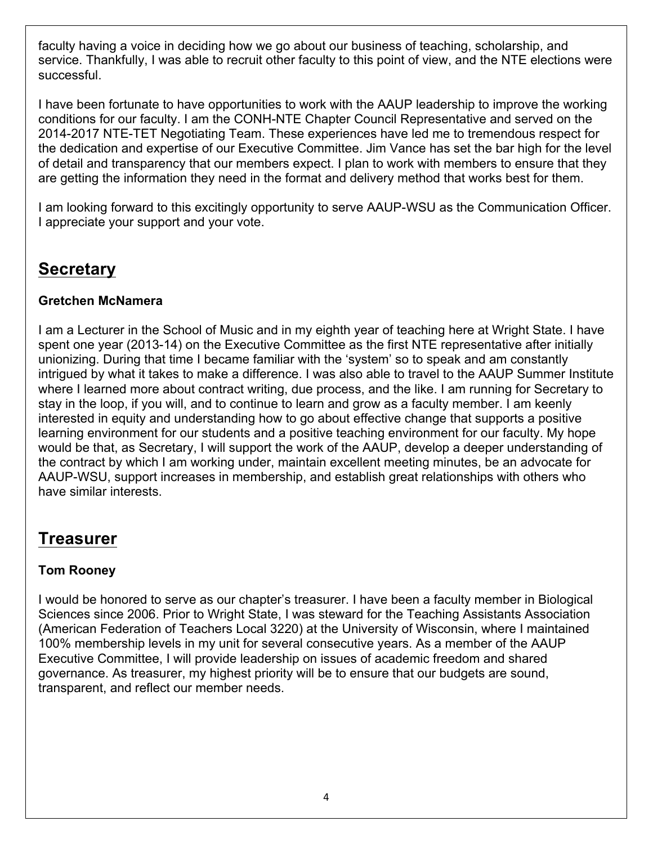faculty having a voice in deciding how we go about our business of teaching, scholarship, and service. Thankfully, I was able to recruit other faculty to this point of view, and the NTE elections were successful.

 I have been fortunate to have opportunities to work with the AAUP leadership to improve the working conditions for our faculty. I am the CONH-NTE Chapter Council Representative and served on the 2014-2017 NTE-TET Negotiating Team. These experiences have led me to tremendous respect for the dedication and expertise of our Executive Committee. Jim Vance has set the bar high for the level of detail and transparency that our members expect. I plan to work with members to ensure that they are getting the information they need in the format and delivery method that works best for them.

 I am looking forward to this excitingly opportunity to serve AAUP-WSU as the Communication Officer. I appreciate your support and your vote.

### **Secretary**

#### **Gretchen McNamera**

 I am a Lecturer in the School of Music and in my eighth year of teaching here at Wright State. I have spent one year (2013-14) on the Executive Committee as the first NTE representative after initially unionizing. During that time I became familiar with the 'system' so to speak and am constantly intrigued by what it takes to make a difference. I was also able to travel to the AAUP Summer Institute where I learned more about contract writing, due process, and the like. I am running for Secretary to stay in the loop, if you will, and to continue to learn and grow as a faculty member. I am keenly interested in equity and understanding how to go about effective change that supports a positive learning environment for our students and a positive teaching environment for our faculty. My hope would be that, as Secretary, I will support the work of the AAUP, develop a deeper understanding of the contract by which I am working under, maintain excellent meeting minutes, be an advocate for AAUP-WSU, support increases in membership, and establish great relationships with others who have similar interests.

#### **Treasurer**

#### **Tom Rooney**

 I would be honored to serve as our chapter's treasurer. I have been a faculty member in Biological Sciences since 2006. Prior to Wright State, I was steward for the Teaching Assistants Association (American Federation of Teachers Local 3220) at the University of Wisconsin, where I maintained 100% membership levels in my unit for several consecutive years. As a member of the AAUP Executive Committee, I will provide leadership on issues of academic freedom and shared governance. As treasurer, my highest priority will be to ensure that our budgets are sound, transparent, and reflect our member needs.